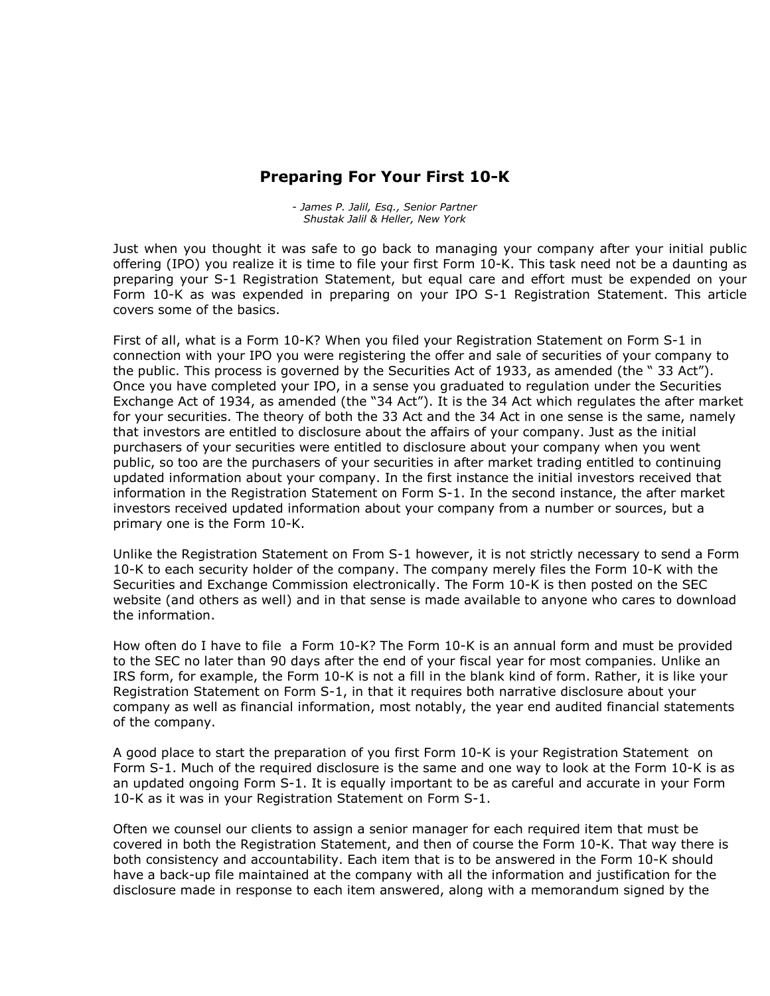## **Preparing For Your First 10-K**

*- James P. Jalil, Esq., Senior Partner Shustak Jalil& Heller, New York*

Just when you thought it was safe to go back to managing your company after your initial public offering (IPO) you realize it is time to file your first Form 10-K. This task need not be a daunting as preparing your S-1 Registration Statement, but equal care and effort must be expended on your Form 10-K as was expended in preparing on your IPO S-1 Registration Statement. This article covers some of the basics.

First of all, what is a Form 10-K? When you filed your Registration Statement on Form S-1 in connection with your IPO you were registering the offer and sale of securities of your company to the public. This process is governed by the Securities Act of 1933, as amended (the  $\degree$  33 Act"). Once you have completed your IPO, in a sense you graduated to regulation under the Securities Exchange Act of 1934, as amended (the "34 Act"). It is the 34 Act which regulates the after market for your securities. The theory of both the 33 Act and the 34 Act in one sense is the same, namely that investors are entitled to disclosure about the affairs of your company. Just as the initial purchasers of your securities were entitled to disclosure about your company when you went public, so too are the purchasers of your securities in after market trading entitled to continuing updated information about your company. In the first instance the initial investors received that information in the Registration Statement on Form S-1. In the second instance, the after market investors received updated information about your company from a number or sources, but a primary one is the Form 10-K.

Unlike the Registration Statement on From S-1 however, it is not strictly necessary to send a Form 10-K to each security holder of the company. The company merely files the Form 10-K with the Securities and Exchange Commission electronically. The Form 10-K is then posted on the SEC website (and others as well) and in that sense is made available to anyone who cares to download the information.

How often do I have to file a Form 10-K? The Form 10-K is an annual form and must be provided to the SEC no later than 90 days after the end of your fiscal year for most companies. Unlike an IRS form, for example, the Form 10-K is not a fill in the blank kind of form. Rather, it is like your Registration Statement on Form S-1, in that it requires both narrative disclosure about your company as well as financial information, most notably, the year end audited financial statements of the company.

A good place to start the preparation of you first Form 10-K is your Registration Statement on Form S-1. Much of the required disclosure is the same and one way to look at the Form 10-K is as an updated ongoing Form S-1. It is equally important to be as careful and accurate in your Form 10-K as it was in your Registration Statement on Form S-1.

Often we counsel our clients to assign a senior manager for each required item that must be covered in both the Registration Statement, and then of course the Form 10-K. That way there is both consistency and accountability. Each item that is to be answered in the Form 10-K should have a back-up file maintained at the company with all the information and justification for the disclosure made in response to each item answered, along with a memorandum signed by the